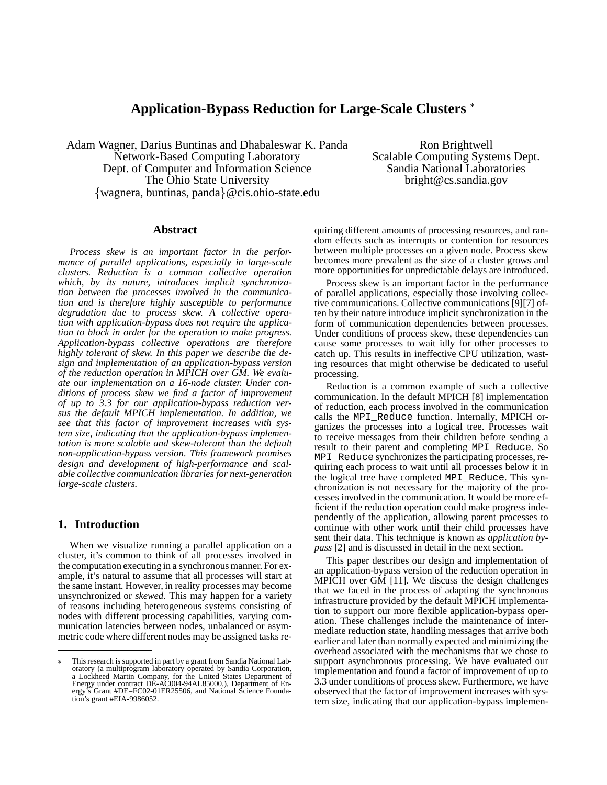# **Application-Bypass Reduction for Large-Scale Clusters**

Adam Wagner, Darius Buntinas and Dhabaleswar K. Panda Network-Based Computing Laboratory Dept. of Computer and Information Science The Ohio State University {wagnera, buntinas, panda}@cis.ohio-state.edu

Ron Brightwell Scalable Computing Systems Dept. Sandia National Laboratories bright@cs.sandia.gov

### **Abstract**

*Process skew is an important factor in the performance of parallel applications, especially in large-scale clusters. Reduction is a common collective operation which, by its nature, introduces implicit synchronization between the processes involved in the communication and is therefore highly susceptible to performance degradation due to process skew. A collective operation with application-bypass does not require the application to block in order for the operation to make progress. Application-bypass collective operations are therefore highly tolerant of skew. In this paper we describe the design and implementation of an application-bypass version of the reduction operation in MPICH over GM. We evaluate our implementation on a 16-node cluster. Under conditions of process skew we find a factor of improvement of up to 3.3 for our application-bypass reduction versus the default MPICH implementation. In addition, we see that this factor of improvement increases with system size, indicating that the application-bypass implementation is more scalable and skew-tolerant than the default non-application-bypass version. This framework promises design and development of high-performance and scalable collective communication libraries for next-generation large-scale clusters.*

# **1. Introduction**

When we visualize running a parallel application on a cluster, it's common to think of all processes involved in the computation executing in a synchronous manner. For example, it's natural to assume that all processes will start at the same instant. However, in reality processes may become unsynchronized or *skewed*. This may happen for a variety of reasons including heterogeneous systems consisting of nodes with different processing capabilities, varying communication latencies between nodes, unbalanced or asymmetric code where different nodes may be assigned tasks requiring different amounts of processing resources, and random effects such as interrupts or contention for resources between multiple processes on a given node. Process skew becomes more prevalent as the size of a cluster grows and more opportunities for unpredictable delays are introduced.

Process skew is an important factor in the performance of parallel applications, especially those involving collective communications. Collective communications [9][7] often by their nature introduce implicit synchronization in the form of communication dependencies between processes. Under conditions of process skew, these dependencies can cause some processes to wait idly for other processes to catch up. This results in ineffective CPU utilization, wasting resources that might otherwise be dedicated to useful processing.

Reduction is a common example of such a collective communication. In the default MPICH [8] implementation of reduction, each process involved in the communication calls the MPI\_Reduce function. Internally, MPICH organizes the processes into a logical tree. Processes wait to receive messages from their children before sending a result to their parent and completing MPI\_Reduce. So MPI\_Reduce synchronizesthe participating processes, requiring each process to wait until all processes below it in the logical tree have completed MPI\_Reduce. This synchronization is not necessary for the majority of the processes involved in the communication. It would be more efficient if the reduction operation could make progress independently of the application, allowing parent processes to continue with other work until their child processes have sent their data. This technique is known as *application bypass* [2] and is discussed in detail in the next section.

This paper describes our design and implementation of an application-bypass version of the reduction operation in MPICH over GM [11]. We discuss the design challenges that we faced in the process of adapting the synchronous infrastructure provided by the default MPICH implementation to support our more flexible application-bypass operation. These challenges include the maintenance of intermediate reduction state, handling messages that arrive both earlier and later than normally expected and minimizing the overhead associated with the mechanisms that we chose to support asynchronous processing. We have evaluated our implementation and found a factor of improvement of up to 3.3 under conditions of process skew. Furthermore, we have observed that the factor of improvement increases with system size, indicating that our application-bypass implemen-

This research is supported in part by a grant from Sandia National Laboratory (a multiprogram laboratory operated by Sandia Corporation, a Lockheed Martin Company, for the United States Department of Energy under contract DE-AC004-94AL85000.), Department of Energy's Grant #DE=FC02-01ER25506, and National Science Foundation's grant #EIA-9986052.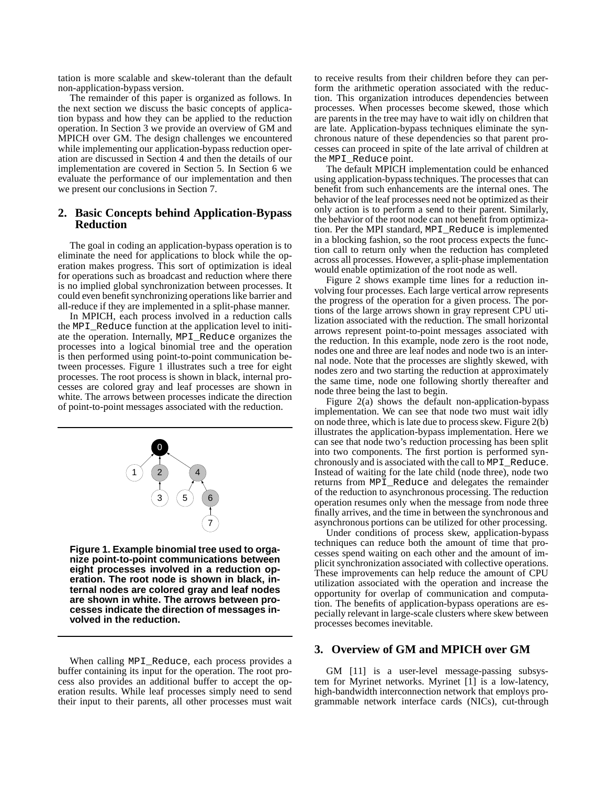tation is more scalable and skew-tolerant than the default non-application-bypass version.

The remainder of this paper is organized as follows. In the next section we discuss the basic concepts of application bypass and how they can be applied to the reduction operation. In Section 3 we provide an overview of GM and MPICH over GM. The design challenges we encountered while implementing our application-bypass reduction operation are discussed in Section 4 and then the details of our implementation are covered in Section 5. In Section 6 we evaluate the performance of our implementation and then we present our conclusions in Section 7.

## **2. Basic Concepts behind Application-Bypass Reduction**

The goal in coding an application-bypass operation is to eliminate the need for applications to block while the operation makes progress. This sort of optimization is ideal for operations such as broadcast and reduction where there is no implied global synchronization between processes. It could even benefit synchronizing operations like barrier and all-reduce if they are implemented in a split-phase manner.

In MPICH, each process involved in a reduction calls the MPI\_Reduce function at the application level to initiate the operation. Internally, MPI\_Reduce organizes the processes into a logical binomial tree and the operation is then performed using point-to-point communication between processes. Figure 1 illustrates such a tree for eight processes. The root process is shown in black, internal processes are colored gray and leaf processes are shown in white. The arrows between processes indicate the direction of point-to-point messages associated with the reduction.



**Figure 1. Example binomial tree used to organize point-to-point communications between eight processes involved in a reduction operation. The root node is shown in black, internal nodes are colored gray and leaf nodes are shown in white. The arrows between processes indicate the direction of messages involved in the reduction.**

When calling MPI\_Reduce, each process provides a buffer containing its input for the operation. The root process also provides an additional buffer to accept the operation results. While leaf processes simply need to send their input to their parents, all other processes must wait

to receive results from their children before they can perform the arithmetic operation associated with the reduction. This organization introduces dependencies between processes. When processes become skewed, those which are parents in the tree may have to wait idly on children that are late. Application-bypass techniques eliminate the synchronous nature of these dependencies so that parent processes can proceed in spite of the late arrival of children at the MPI\_Reduce point.

The default MPICH implementation could be enhanced using application-bypasstechniques. The processes that can benefit from such enhancements are the internal ones. The behavior of the leaf processes need not be optimized as their only action is to perform a send to their parent. Similarly, the behavior of the root node can not benefit from optimization. Per the MPI standard, MPI\_Reduce is implemented in a blocking fashion, so the root process expects the function call to return only when the reduction has completed across all processes. However, a split-phase implementation would enable optimization of the root node as well.

Figure 2 shows example time lines for a reduction involving four processes. Each large vertical arrow represents the progress of the operation for a given process. The portions of the large arrows shown in gray represent CPU utilization associated with the reduction. The small horizontal arrows represent point-to-point messages associated with the reduction. In this example, node zero is the root node, nodes one and three are leaf nodes and node two is an internal node. Note that the processes are slightly skewed, with nodes zero and two starting the reduction at approximately the same time, node one following shortly thereafter and node three being the last to begin.

Figure 2(a) shows the default non-application-bypass implementation. We can see that node two must wait idly on node three, which is late due to process skew. Figure 2(b) illustrates the application-bypass implementation. Here we can see that node two's reduction processing has been split into two components. The first portion is performed synchronously and is associated with the call to MPI\_Reduce. Instead of waiting for the late child (node three), node two returns from MPI\_Reduce and delegates the remainder of the reduction to asynchronous processing. The reduction operation resumes only when the message from node three finally arrives, and the time in between the synchronous and asynchronous portions can be utilized for other processing.

Under conditions of process skew, application-bypass techniques can reduce both the amount of time that processes spend waiting on each other and the amount of implicit synchronization associated with collective operations. These improvements can help reduce the amount of CPU utilization associated with the operation and increase the opportunity for overlap of communication and computation. The benefits of application-bypass operations are especially relevant in large-scale clusters where skew between processes becomes inevitable.

# **3. Overview of GM and MPICH over GM**

GM [11] is a user-level message-passing subsystem for Myrinet networks. Myrinet [1] is a low-latency, high-bandwidth interconnection network that employs programmable network interface cards (NICs), cut-through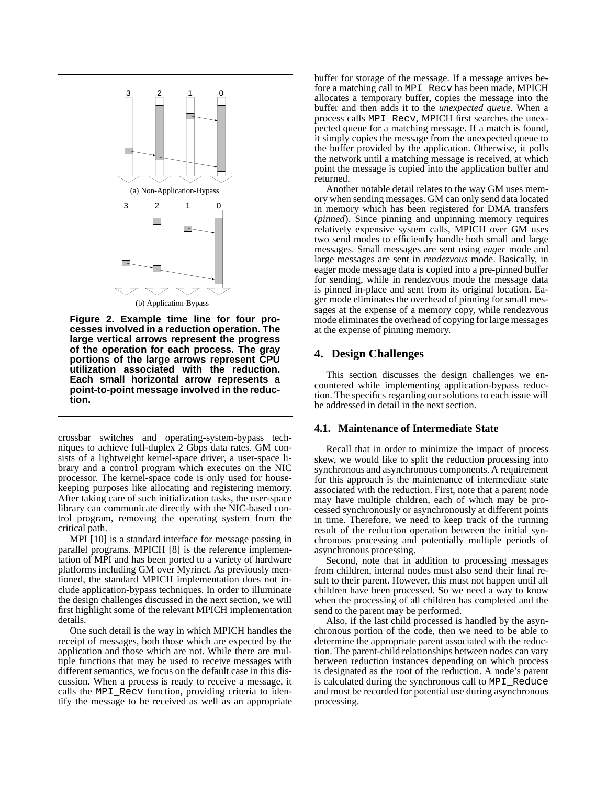

**Figure 2. Example time line for four processes involved in a reduction operation. The large vertical arrows represent the progress of the operation for each process. The gray portions of the large arrows represent CPU utilization associated with the reduction. Each small horizontal arrow represents a point-to-point message involved in the reduction.**

crossbar switches and operating-system-bypass techniques to achieve full-duplex 2 Gbps data rates. GM consists of a lightweight kernel-space driver, a user-space library and a control program which executes on the NIC processor. The kernel-space code is only used for housekeeping purposes like allocating and registering memory. After taking care of such initialization tasks, the user-space library can communicate directly with the NIC-based control program, removing the operating system from the critical path.

MPI [10] is a standard interface for message passing in parallel programs. MPICH [8] is the reference implementation of MPI and has been ported to a variety of hardware platforms including GM over Myrinet. As previously mentioned, the standard MPICH implementation does not include application-bypass techniques. In order to illuminate the design challenges discussed in the next section, we will first highlight some of the relevant MPICH implementation details.

One such detail is the way in which MPICH handles the receipt of messages, both those which are expected by the application and those which are not. While there are multiple functions that may be used to receive messages with different semantics, we focus on the default case in this discussion. When a process is ready to receive a message, it calls the MPI\_Recv function, providing criteria to identify the message to be received as well as an appropriate

buffer for storage of the message. If a message arrives before a matching call to MPI\_Recv has been made, MPICH allocates a temporary buffer, copies the message into the buffer and then adds it to the *unexpected queue*. When a process calls MPI\_Recv, MPICH first searches the unexpected queue for a matching message. If a match is found, it simply copies the message from the unexpected queue to the buffer provided by the application. Otherwise, it polls the network until a matching message is received, at which point the message is copied into the application buffer and returned.

Another notable detail relates to the way GM uses memory when sending messages. GM can only send data located in memory which has been registered for DMA transfers (*pinned*). Since pinning and unpinning memory requires relatively expensive system calls, MPICH over GM uses two send modes to efficiently handle both small and large messages. Small messages are sent using *eager* mode and large messages are sent in *rendezvous* mode. Basically, in eager mode message data is copied into a pre-pinned buffer for sending, while in rendezvous mode the message data is pinned in-place and sent from its original location. Eager mode eliminates the overhead of pinning for small messages at the expense of a memory copy, while rendezvous mode eliminates the overhead of copying for large messages at the expense of pinning memory.

# **4. Design Challenges**

This section discusses the design challenges we encountered while implementing application-bypass reduction. The specifics regarding our solutions to each issue will be addressed in detail in the next section.

#### **4.1. Maintenance of Intermediate State**

Recall that in order to minimize the impact of process skew, we would like to split the reduction processing into synchronous and asynchronous components. A requirement for this approach is the maintenance of intermediate state associated with the reduction. First, note that a parent node may have multiple children, each of which may be processed synchronously or asynchronously at different points in time. Therefore, we need to keep track of the running result of the reduction operation between the initial synchronous processing and potentially multiple periods of asynchronous processing.

Second, note that in addition to processing messages from children, internal nodes must also send their final result to their parent. However, this must not happen until all children have been processed. So we need a way to know when the processing of all children has completed and the send to the parent may be performed.

Also, if the last child processed is handled by the asynchronous portion of the code, then we need to be able to determine the appropriate parent associated with the reduction. The parent-child relationships between nodes can vary between reduction instances depending on which process is designated as the root of the reduction. A node's parent is calculated during the synchronous call to MPI\_Reduce and must be recorded for potential use during asynchronous processing.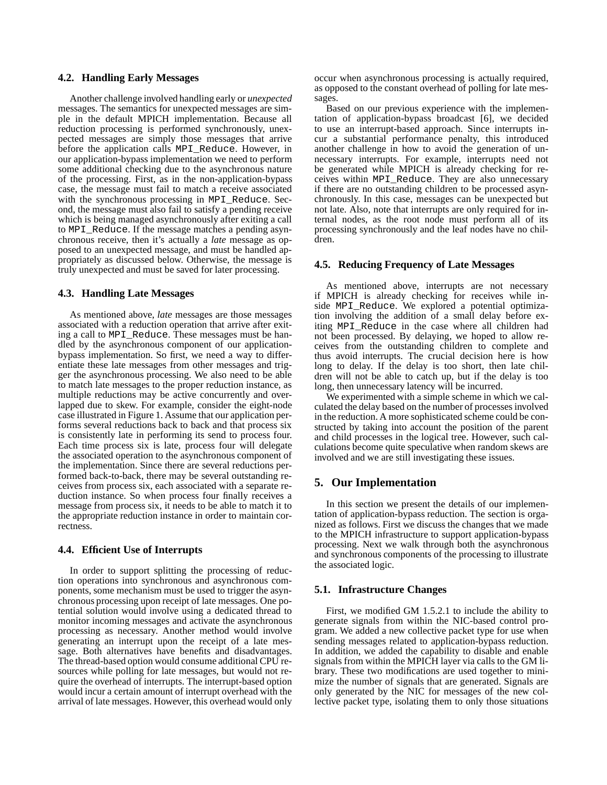### **4.2. Handling Early Messages**

Another challenge involved handling early or *unexpected* messages. The semantics for unexpected messages are simple in the default MPICH implementation. Because all reduction processing is performed synchronously, unexpected messages are simply those messages that arrive before the application calls MPI\_Reduce. However, in our application-bypass implementation we need to perform some additional checking due to the asynchronous nature of the processing. First, as in the non-application-bypass case, the message must fail to match a receive associated with the synchronous processing in MPI\_Reduce. Second, the message must also fail to satisfy a pending receive which is being managed asynchronously after exiting a call to MPI\_Reduce. If the message matches a pending asynchronous receive, then it's actually a *late* message as opposed to an unexpected message, and must be handled appropriately as discussed below. Otherwise, the message is truly unexpected and must be saved for later processing.

#### **4.3. Handling Late Messages**

As mentioned above, *late* messages are those messages associated with a reduction operation that arrive after exiting a call to MPI Reduce. These messages must be handled by the asynchronous component of our applicationbypass implementation. So first, we need a way to differentiate these late messages from other messages and trigger the asynchronous processing. We also need to be able to match late messages to the proper reduction instance, as multiple reductions may be active concurrently and overlapped due to skew. For example, consider the eight-node case illustrated in Figure 1. Assume that our application performs several reductions back to back and that process six is consistently late in performing its send to process four. Each time process six is late, process four will delegate the associated operation to the asynchronous component of the implementation. Since there are several reductions performed back-to-back, there may be several outstanding receives from process six, each associated with a separate reduction instance. So when process four finally receives a message from process six, it needs to be able to match it to the appropriate reduction instance in order to maintain correctness.

#### **4.4. Efficient Use of Interrupts**

In order to support splitting the processing of reduction operations into synchronous and asynchronous components, some mechanism must be used to trigger the asynchronous processing upon receipt of late messages. One potential solution would involve using a dedicated thread to monitor incoming messages and activate the asynchronous processing as necessary. Another method would involve generating an interrupt upon the receipt of a late message. Both alternatives have benefits and disadvantages. The thread-based option would consume additional CPU resources while polling for late messages, but would not require the overhead of interrupts. The interrupt-based option would incur a certain amount of interrupt overhead with the arrival of late messages. However, this overhead would only

occur when asynchronous processing is actually required, as opposed to the constant overhead of polling for late messages.

Based on our previous experience with the implementation of application-bypass broadcast [6], we decided to use an interrupt-based approach. Since interrupts incur a substantial performance penalty, this introduced another challenge in how to avoid the generation of unnecessary interrupts. For example, interrupts need not be generated while MPICH is already checking for receives within MPI\_Reduce. They are also unnecessary if there are no outstanding children to be processed asynchronously. In this case, messages can be unexpected but not late. Also, note that interrupts are only required for internal nodes, as the root node must perform all of its processing synchronously and the leaf nodes have no children.

#### **4.5. Reducing Frequency of Late Messages**

As mentioned above, interrupts are not necessary if MPICH is already checking for receives while inside MPI\_Reduce. We explored a potential optimization involving the addition of a small delay before exiting MPI\_Reduce in the case where all children had not been processed. By delaying, we hoped to allow receives from the outstanding children to complete and thus avoid interrupts. The crucial decision here is how long to delay. If the delay is too short, then late children will not be able to catch up, but if the delay is too long, then unnecessary latency will be incurred.

We experimented with a simple scheme in which we calculated the delay based on the number of processes involved in the reduction. A more sophisticated scheme could be constructed by taking into account the position of the parent and child processes in the logical tree. However, such calculations become quite speculative when random skews are involved and we are still investigating these issues.

## **5. Our Implementation**

In this section we present the details of our implementation of application-bypass reduction. The section is organized as follows. First we discuss the changes that we made to the MPICH infrastructure to support application-bypass processing. Next we walk through both the asynchronous and synchronous components of the processing to illustrate the associated logic.

### **5.1. Infrastructure Changes**

First, we modified GM 1.5.2.1 to include the ability to generate signals from within the NIC-based control program. We added a new collective packet type for use when sending messages related to application-bypass reduction. In addition, we added the capability to disable and enable signals from within the MPICH layer via calls to the GM library. These two modifications are used together to minimize the number of signals that are generated. Signals are only generated by the NIC for messages of the new collective packet type, isolating them to only those situations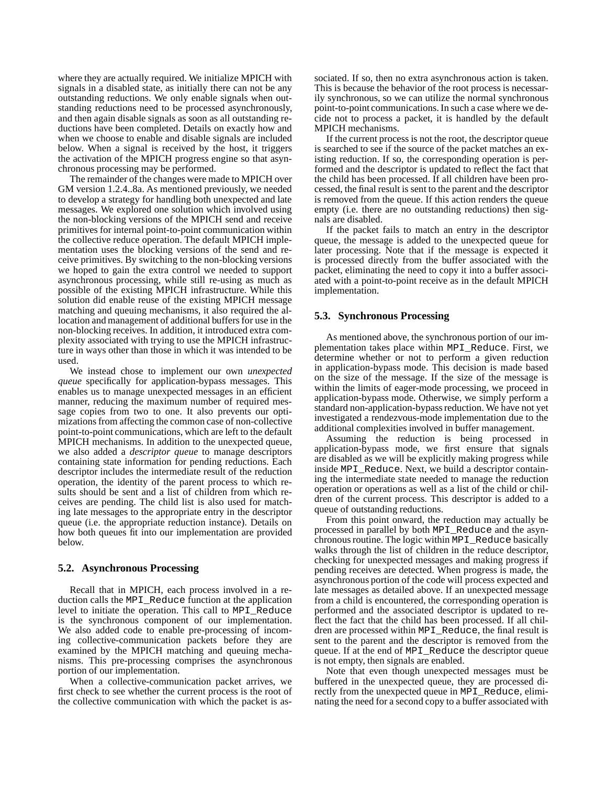where they are actually required. We initialize MPICH with signals in a disabled state, as initially there can not be any outstanding reductions. We only enable signals when outstanding reductions need to be processed asynchronously, and then again disable signals as soon as all outstanding reductions have been completed. Details on exactly how and when we choose to enable and disable signals are included below. When a signal is received by the host, it triggers the activation of the MPICH progress engine so that asynchronous processing may be performed.

The remainder of the changes were made to MPICH over GM version 1.2.4..8a. As mentioned previously, we needed to develop a strategy for handling both unexpected and late messages. We explored one solution which involved using the non-blocking versions of the MPICH send and receive primitives for internal point-to-point communication within the collective reduce operation. The default MPICH implementation uses the blocking versions of the send and receive primitives. By switching to the non-blocking versions we hoped to gain the extra control we needed to support asynchronous processing, while still re-using as much as possible of the existing MPICH infrastructure. While this solution did enable reuse of the existing MPICH message matching and queuing mechanisms, it also required the allocation and management of additional buffers for use in the non-blocking receives. In addition, it introduced extra complexity associated with trying to use the MPICH infrastructure in ways other than those in which it was intended to be used.

We instead chose to implement our own *unexpected queue* specifically for application-bypass messages. This enables us to manage unexpected messages in an efficient manner, reducing the maximum number of required message copies from two to one. It also prevents our optimizations from affecting the common case of non-collective point-to-point communications, which are left to the default MPICH mechanisms. In addition to the unexpected queue, we also added a *descriptor queue* to manage descriptors containing state information for pending reductions. Each descriptor includes the intermediate result of the reduction operation, the identity of the parent process to which results should be sent and a list of children from which receives are pending. The child list is also used for matching late messages to the appropriate entry in the descriptor queue (i.e. the appropriate reduction instance). Details on how both queues fit into our implementation are provided below.

#### **5.2. Asynchronous Processing**

Recall that in MPICH, each process involved in a reduction calls the MPI\_Reduce function at the application level to initiate the operation. This call to MPI\_Reduce is the synchronous component of our implementation. We also added code to enable pre-processing of incoming collective-communication packets before they are examined by the MPICH matching and queuing mechanisms. This pre-processing comprises the asynchronous portion of our implementation.

When a collective-communication packet arrives, we first check to see whether the current process is the root of the collective communication with which the packet is as-

sociated. If so, then no extra asynchronous action is taken. This is because the behavior of the root process is necessarily synchronous, so we can utilize the normal synchronous point-to-point communications.In such a case where we decide not to process a packet, it is handled by the default MPICH mechanisms.

If the current process is not the root, the descriptor queue is searched to see if the source of the packet matches an existing reduction. If so, the corresponding operation is performed and the descriptor is updated to reflect the fact that the child has been processed. If all children have been processed, the final result is sent to the parent and the descriptor is removed from the queue. If this action renders the queue empty (i.e. there are no outstanding reductions) then signals are disabled.

If the packet fails to match an entry in the descriptor queue, the message is added to the unexpected queue for later processing. Note that if the message is expected it is processed directly from the buffer associated with the packet, eliminating the need to copy it into a buffer associated with a point-to-point receive as in the default MPICH implementation.

#### **5.3. Synchronous Processing**

As mentioned above, the synchronous portion of our implementation takes place within MPI\_Reduce. First, we determine whether or not to perform a given reduction in application-bypass mode. This decision is made based on the size of the message. If the size of the message is within the limits of eager-mode processing, we proceed in application-bypass mode. Otherwise, we simply perform a standard non-application-bypassreduction. We have not yet investigated a rendezvous-mode implementation due to the additional complexities involved in buffer management.

Assuming the reduction is being processed in application-bypass mode, we first ensure that signals are disabled as we will be explicitly making progress while inside MPI\_Reduce. Next, we build a descriptor containing the intermediate state needed to manage the reduction operation or operations as well as a list of the child or children of the current process. This descriptor is added to a queue of outstanding reductions.

From this point onward, the reduction may actually be processed in parallel by both MPI\_Reduce and the asynchronous routine. The logic within MPI\_Reduce basically walks through the list of children in the reduce descriptor, checking for unexpected messages and making progress if pending receives are detected. When progress is made, the asynchronous portion of the code will process expected and late messages as detailed above. If an unexpected message from a child is encountered, the corresponding operation is performed and the associated descriptor is updated to reflect the fact that the child has been processed. If all children are processed within MPI\_Reduce, the final result is sent to the parent and the descriptor is removed from the queue. If at the end of MPI\_Reduce the descriptor queue is not empty, then signals are enabled.

Note that even though unexpected messages must be buffered in the unexpected queue, they are processed directly from the unexpected queue in MPI\_Reduce, eliminating the need for a second copy to a buffer associated with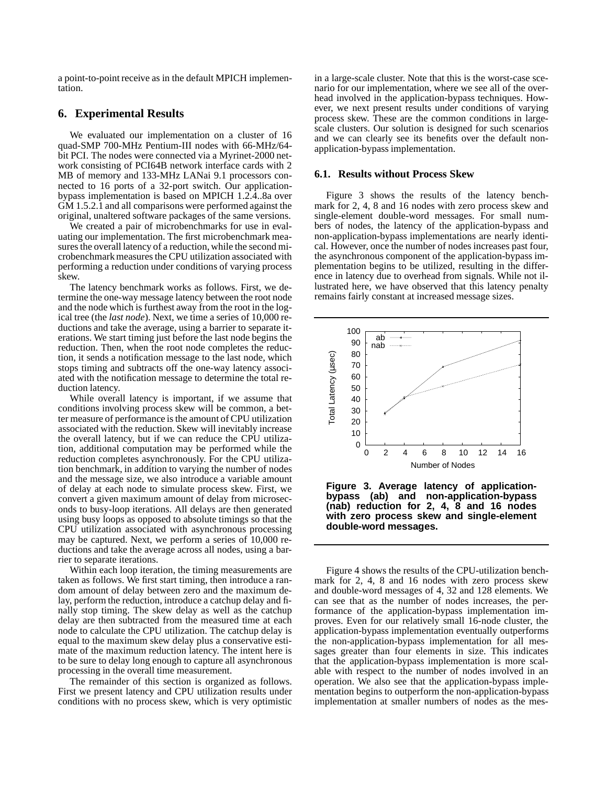a point-to-point receive as in the default MPICH implementation.

# **6. Experimental Results**

We evaluated our implementation on a cluster of 16 quad-SMP 700-MHz Pentium-III nodes with 66-MHz/64 bit PCI. The nodes were connected via a Myrinet-2000 network consisting of PCI64B network interface cards with 2 MB of memory and 133-MHz LANai 9.1 processors connected to 16 ports of a 32-port switch. Our applicationbypass implementation is based on MPICH 1.2.4..8a over GM 1.5.2.1 and all comparisons were performed against the original, unaltered software packages of the same versions.

We created a pair of microbenchmarks for use in evaluating our implementation. The first microbenchmark measures the overall latency of a reduction, while the second microbenchmark measures the CPU utilization associated with performing a reduction under conditions of varying process skew.

The latency benchmark works as follows. First, we determine the one-way message latency between the root node and the node which is furthest away from the root in the logical tree (the *last node*). Next, we time a series of 10,000 reductions and take the average, using a barrier to separate iterations. We start timing just before the last node begins the reduction. Then, when the root node completes the reduction, it sends a notification message to the last node, which stops timing and subtracts off the one-way latency associated with the notification message to determine the total reduction latency.

While overall latency is important, if we assume that conditions involving process skew will be common, a better measure of performance is the amount of CPU utilization associated with the reduction. Skew will inevitably increase the overall latency, but if we can reduce the CPU utilization, additional computation may be performed while the reduction completes asynchronously. For the CPU utilization benchmark, in addition to varying the number of nodes and the message size, we also introduce a variable amount of delay at each node to simulate process skew. First, we convert a given maximum amount of delay from microseconds to busy-loop iterations. All delays are then generated using busy loops as opposed to absolute timings so that the CPU utilization associated with asynchronous processing may be captured. Next, we perform a series of 10,000 reductions and take the average across all nodes, using a barrier to separate iterations.

Within each loop iteration, the timing measurements are taken as follows. We first start timing, then introduce a random amount of delay between zero and the maximum delay, perform the reduction, introduce a catchup delay and finally stop timing. The skew delay as well as the catchup delay are then subtracted from the measured time at each node to calculate the CPU utilization. The catchup delay is equal to the maximum skew delay plus a conservative estimate of the maximum reduction latency. The intent here is to be sure to delay long enough to capture all asynchronous processing in the overall time measurement.

The remainder of this section is organized as follows. First we present latency and CPU utilization results under conditions with no process skew, which is very optimistic

in a large-scale cluster. Note that this is the worst-case scenario for our implementation, where we see all of the overhead involved in the application-bypass techniques. However, we next present results under conditions of varying process skew. These are the common conditions in largescale clusters. Our solution is designed for such scenarios and we can clearly see its benefits over the default nonapplication-bypass implementation.

#### **6.1. Results without Process Skew**

Figure 3 shows the results of the latency benchmark for 2, 4, 8 and 16 nodes with zero process skew and single-element double-word messages. For small numbers of nodes, the latency of the application-bypass and non-application-bypass implementations are nearly identical. However, once the number of nodes increases past four, the asynchronous component of the application-bypass implementation begins to be utilized, resulting in the difference in latency due to overhead from signals. While not illustrated here, we have observed that this latency penalty remains fairly constant at increased message sizes.



**Figure 3. Average latency of applicationbypass (ab) and non-application-bypass (nab) reduction for 2, 4, 8 and 16 nodes with zero process skew and single-element double-word messages.**

Figure 4 shows the results of the CPU-utilization benchmark for 2, 4, 8 and 16 nodes with zero process skew and double-word messages of 4, 32 and 128 elements. We can see that as the number of nodes increases, the performance of the application-bypass implementation improves. Even for our relatively small 16-node cluster, the application-bypass implementation eventually outperforms the non-application-bypass implementation for all messages greater than four elements in size. This indicates that the application-bypass implementation is more scalable with respect to the number of nodes involved in an operation. We also see that the application-bypass implementation begins to outperform the non-application-bypass implementation at smaller numbers of nodes as the mes-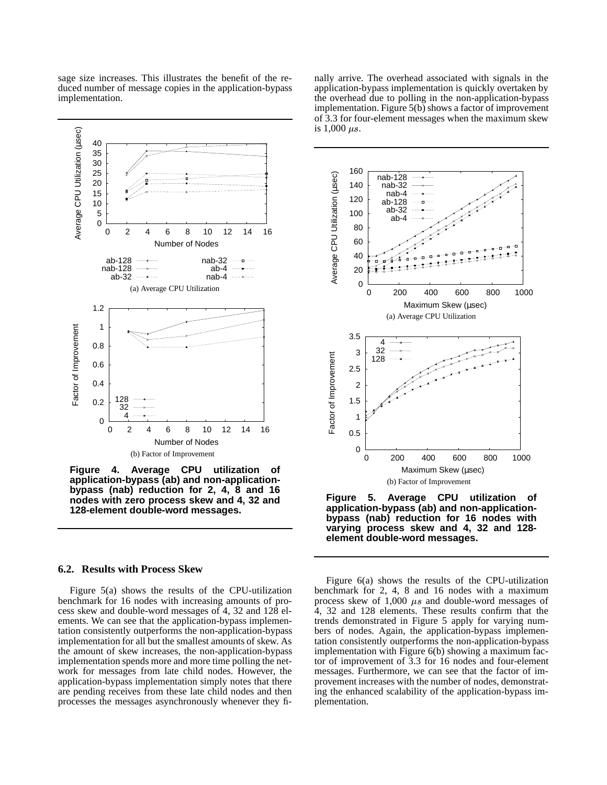

sage size increases. This illustrates the benefit of the reduced number of message copies in the application-bypass implementation.

**Figure 4. Average CPU utilization of application-bypass (ab) and non-applicationbypass (nab) reduction for 2, 4, 8 and 16 nodes with zero process skew and 4, 32 and 128-element double-word messages.**

### **6.2. Results with Process Skew**

Figure 5(a) shows the results of the CPU-utilization benchmark for 16 nodes with increasing amounts of process skew and double-word messages of 4, 32 and 128 elements. We can see that the application-bypass implementation consistently outperforms the non-application-bypass implementation for all but the smallest amounts of skew. As the amount of skew increases, the non-application-bypass implementation spends more and more time polling the network for messages from late child nodes. However, the application-bypass implementation simply notes that there are pending receives from these late child nodes and then processes the messages asynchronously whenever they finally arrive. The overhead associated with signals in the application-bypass implementation is quickly overtaken by the overhead due to polling in the non-application-bypass implementation. Figure 5(b) shows a factor of improvement of 3.3 for four-element messages when the maximum skew is  $1,000 \ \mu s$ .



**Figure 5. Average CPU utilization of application-bypass (ab) and non-applicationbypass (nab) reduction for 16 nodes with varying process skew and 4, 32 and 128 element double-word messages.**

Figure 6(a) shows the results of the CPU-utilization benchmark for 2, 4, 8 and 16 nodes with a maximum process skew of  $1,000 \mu s$  and double-word messages of 4, 32 and 128 elements. These results confirm that the trends demonstrated in Figure 5 apply for varying numbers of nodes. Again, the application-bypass implementation consistently outperforms the non-application-bypass implementation with Figure 6(b) showing a maximum factor of improvement of 3.3 for 16 nodes and four-element messages. Furthermore, we can see that the factor of improvement increases with the number of nodes, demonstrating the enhanced scalability of the application-bypass implementation.